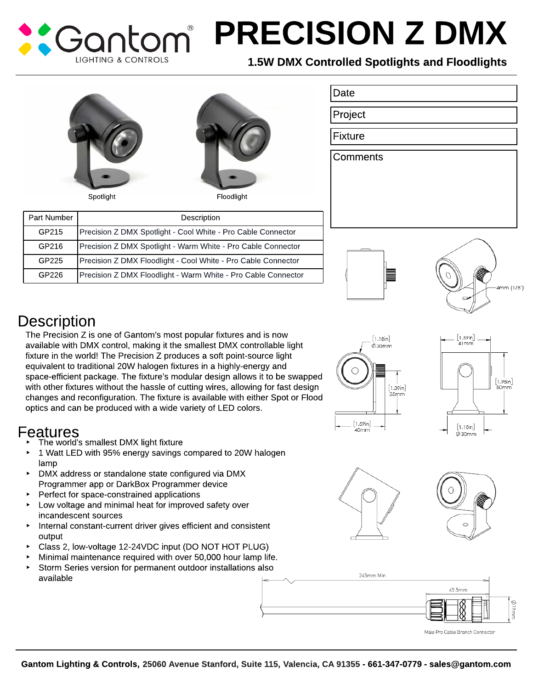## PRECISION Z DMX Cantr **LIGHTING & CONTROLS**

Date

Project

Fixture

**Comments** 

## 1.5W DMX Controlled Spotlights and Floodlights





| Part Number | Description                                                   |
|-------------|---------------------------------------------------------------|
| GP215       | Precision Z DMX Spotlight - Cool White - Pro Cable Connector  |
| GP216       | Precision Z DMX Spotlight - Warm White - Pro Cable Connector  |
| GP225       | Precision Z DMX Floodlight - Cool White - Pro Cable Connector |
| GP226       | Precision Z DMX Floodlight - Warm White - Pro Cable Connector |





## **Description**

The Precision Z is one of Gantom?s most popular fixtures and is now available with DMX control, making it the smallest DMX controllable light fixture in the world! The Precision Z produces a soft point-source light equivalent to traditional 20W halogen fixtures in a highly-energy and space-efficient package. The fixture?s modular design allows it to be swapped with other fixtures without the hassle of cutting wires, allowing for fast design changes and reconfiguration. The fixture is available with either Spot or Flood optics and can be produced with a wide variety of LED colors.

## Features

- The world's smallest DMX light fixture
- 1 Watt LED with 95% energy savings compared to 20W halogen lamp
- DMX address or standalone state configured via DMX Programmer app or DarkBox Programmer device
- **Perfect for space-constrained applications**
- $\blacktriangleright$  Low voltage and minimal heat for improved safety over incandescent sources
- Internal constant-current driver gives efficient and consistent output
- Class 2, low-voltage 12-24VDC input (DO NOT HOT PLUG)
- Minimal maintenance required with over 50,000 hour lamp life.
- Storm Series version for permanent outdoor installations also available











Male Pro Cable Branch Connector